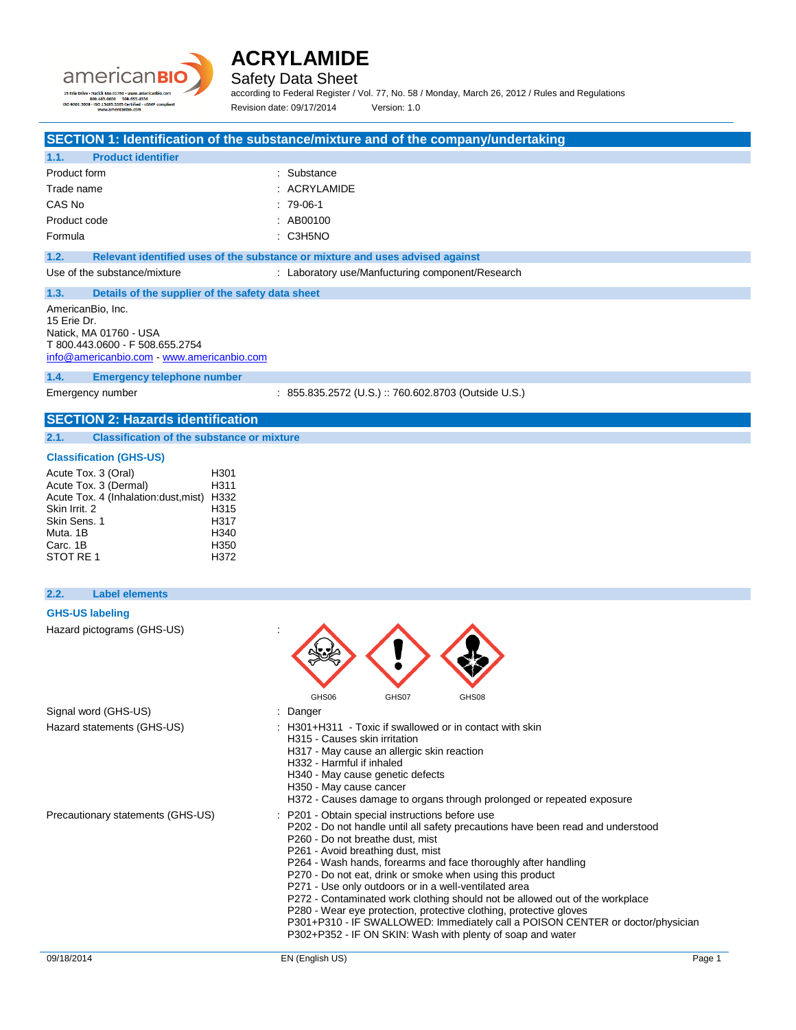



Safety Data Sheet

according to Federal Register / Vol. 77, No. 58 / Monday, March 26, 2012 / Rules and Regulations Revision date: 09/17/2014 Version: 1.0

### **SECTION 1: Identification of the substance/mixture and of the company/undertaking**

| 1.1.         | <b>Product identifier</b> |                |
|--------------|---------------------------|----------------|
| Product form |                           | : Substance    |
| Trade name   |                           | $:$ ACRYLAMIDE |
| CAS No       |                           | $:79-06-1$     |
| Product code |                           | : AB00100      |
| Formula      |                           | $:$ C3H5NO     |

**1.2. Relevant identified uses of the substance or mixture and uses advised against**

Use of the substance/mixture : Laboratory use/Manfucturing component/Research

**1.3. Details of the supplier of the safety data sheet**

AmericanBio, Inc. 15 Erie Dr. Natick, MA 01760 - USA T 800.443.0600 - F 508.655.2754 [info@americanbio.com](mailto:info@americanbio.com) - <www.americanbio.com>

**1.4. Emergency telephone number**

Emergency number : 855.835.2572 (U.S.) :: 760.602.8703 (Outside U.S.)

## **SECTION 2: Hazards identification**

**2.1. Classification of the substance or mixture**

### **Classification (GHS-US)**

| Acute Tox. 3 (Oral)                  | H <sub>301</sub> |
|--------------------------------------|------------------|
| Acute Tox. 3 (Dermal)                | H311             |
| Acute Tox. 4 (Inhalation:dust, mist) | H332             |
| Skin Irrit. 2                        | H315             |
| Skin Sens. 1                         | H317             |
| Muta, 1B                             | H <sub>340</sub> |
| Carc. 1B                             | H350             |
| STOT RE 1                            | H372             |

### **2.2. Label elements**

### **GHS-US labeling**

Signal word (GHS-US) Hazard statements (GHS-US)

Hazard pictograms (GHS-US) :

| GHS06                                                                                     | GHS07 | GHS08 |
|-------------------------------------------------------------------------------------------|-------|-------|
| : Danger                                                                                  |       |       |
| : H301+H311 - Toxic if swallowed or in contact with skin<br>H315 - Causes skin irritation |       |       |

- H317 May cause an allergic skin reaction
- H332 Harmful if inhaled
- H340 May cause genetic defects
- H350 May cause cancer
- H372 Causes damage to organs through prolonged or repeated exposure
- Precautionary statements (GHS-US) : P201 Obtain special instructions before use
	- P202 Do not handle until all safety precautions have been read and understood
	- P260 Do not breathe dust, mist
	- P261 Avoid breathing dust, mist
	- P264 Wash hands, forearms and face thoroughly after handling
	- P270 Do not eat, drink or smoke when using this product
	- P271 Use only outdoors or in a well-ventilated area
	- P272 Contaminated work clothing should not be allowed out of the workplace
	- P280 Wear eye protection, protective clothing, protective gloves
	- P301+P310 IF SWALLOWED: Immediately call a POISON CENTER or doctor/physician
	- P302+P352 IF ON SKIN: Wash with plenty of soap and water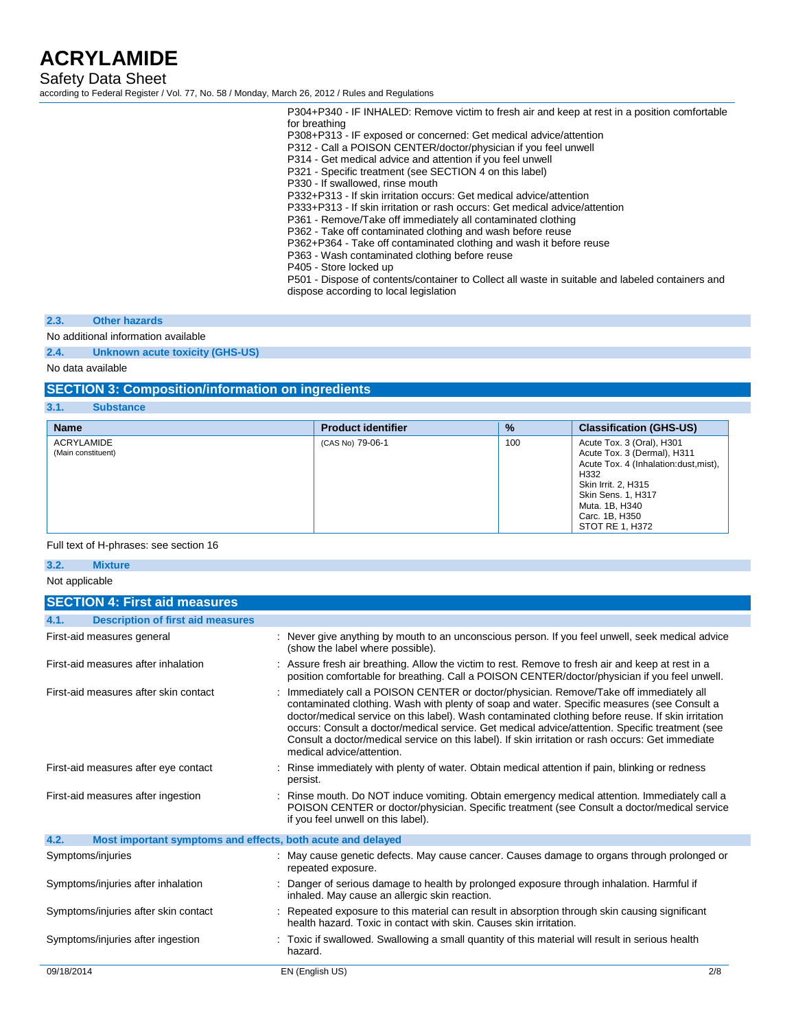Safety Data Sheet

according to Federal Register / Vol. 77, No. 58 / Monday, March 26, 2012 / Rules and Regulations

P304+P340 - IF INHALED: Remove victim to fresh air and keep at rest in a position comfortable for breathing

P308+P313 - IF exposed or concerned: Get medical advice/attention

P312 - Call a POISON CENTER/doctor/physician if you feel unwell

P314 - Get medical advice and attention if you feel unwell

P321 - Specific treatment (see SECTION 4 on this label)

P330 - If swallowed, rinse mouth

P332+P313 - If skin irritation occurs: Get medical advice/attention

P333+P313 - If skin irritation or rash occurs: Get medical advice/attention

P361 - Remove/Take off immediately all contaminated clothing

P362 - Take off contaminated clothing and wash before reuse

P362+P364 - Take off contaminated clothing and wash it before reuse

P363 - Wash contaminated clothing before reuse

P405 - Store locked up

P501 - Dispose of contents/container to Collect all waste in suitable and labeled containers and dispose according to local legislation

### **2.3. Other hazards**

No additional information available

### **2.4. Unknown acute toxicity (GHS-US)**

No data available

### **SECTION 3: Composition/information on ingredients**

**3.1. Substance**

| <b>Name</b>                      | <b>Product identifier</b> | $\frac{9}{6}$ | <b>Classification (GHS-US)</b>                                                                                                                                                                                 |
|----------------------------------|---------------------------|---------------|----------------------------------------------------------------------------------------------------------------------------------------------------------------------------------------------------------------|
| ACRYLAMIDE<br>(Main constituent) | (CAS No) 79-06-1          | 100           | Acute Tox. 3 (Oral), H301<br>Acute Tox. 3 (Dermal), H311<br>Acute Tox. 4 (Inhalation: dust, mist),<br>H332<br>Skin Irrit. 2, H315<br>Skin Sens. 1, H317<br>Muta. 1B, H340<br>Carc. 1B, H350<br>STOT RE 1, H372 |

### Full text of H-phrases: see section 16

**3.2. Mixture**

#### Not applicable

| <b>SECTION 4: First aid measures</b>                                |                                                                                                                                                                                                                                                                                                                                                                                                                                                                                                                                   |
|---------------------------------------------------------------------|-----------------------------------------------------------------------------------------------------------------------------------------------------------------------------------------------------------------------------------------------------------------------------------------------------------------------------------------------------------------------------------------------------------------------------------------------------------------------------------------------------------------------------------|
| <b>Description of first aid measures</b><br>4.1.                    |                                                                                                                                                                                                                                                                                                                                                                                                                                                                                                                                   |
| First-aid measures general                                          | : Never give anything by mouth to an unconscious person. If you feel unwell, seek medical advice<br>(show the label where possible).                                                                                                                                                                                                                                                                                                                                                                                              |
| First-aid measures after inhalation                                 | : Assure fresh air breathing. Allow the victim to rest. Remove to fresh air and keep at rest in a<br>position comfortable for breathing. Call a POISON CENTER/doctor/physician if you feel unwell.                                                                                                                                                                                                                                                                                                                                |
| First-aid measures after skin contact                               | : Immediately call a POISON CENTER or doctor/physician. Remove/Take off immediately all<br>contaminated clothing. Wash with plenty of soap and water. Specific measures (see Consult a<br>doctor/medical service on this label). Wash contaminated clothing before reuse. If skin irritation<br>occurs: Consult a doctor/medical service. Get medical advice/attention. Specific treatment (see<br>Consult a doctor/medical service on this label). If skin irritation or rash occurs: Get immediate<br>medical advice/attention. |
| First-aid measures after eye contact                                | Rinse immediately with plenty of water. Obtain medical attention if pain, blinking or redness<br>persist.                                                                                                                                                                                                                                                                                                                                                                                                                         |
| First-aid measures after ingestion                                  | : Rinse mouth. Do NOT induce vomiting. Obtain emergency medical attention. Immediately call a<br>POISON CENTER or doctor/physician. Specific treatment (see Consult a doctor/medical service<br>if you feel unwell on this label).                                                                                                                                                                                                                                                                                                |
| 4.2.<br>Most important symptoms and effects, both acute and delayed |                                                                                                                                                                                                                                                                                                                                                                                                                                                                                                                                   |
| Symptoms/injuries                                                   | : May cause genetic defects. May cause cancer. Causes damage to organs through prolonged or<br>repeated exposure.                                                                                                                                                                                                                                                                                                                                                                                                                 |
| Symptoms/injuries after inhalation                                  | Danger of serious damage to health by prolonged exposure through inhalation. Harmful if<br>inhaled. May cause an allergic skin reaction.                                                                                                                                                                                                                                                                                                                                                                                          |
| Symptoms/injuries after skin contact                                | : Repeated exposure to this material can result in absorption through skin causing significant<br>health hazard. Toxic in contact with skin. Causes skin irritation.                                                                                                                                                                                                                                                                                                                                                              |
| Symptoms/injuries after ingestion                                   | : Toxic if swallowed. Swallowing a small quantity of this material will result in serious health<br>hazard.                                                                                                                                                                                                                                                                                                                                                                                                                       |
| 09/18/2014                                                          | 2/8<br>EN (English US)                                                                                                                                                                                                                                                                                                                                                                                                                                                                                                            |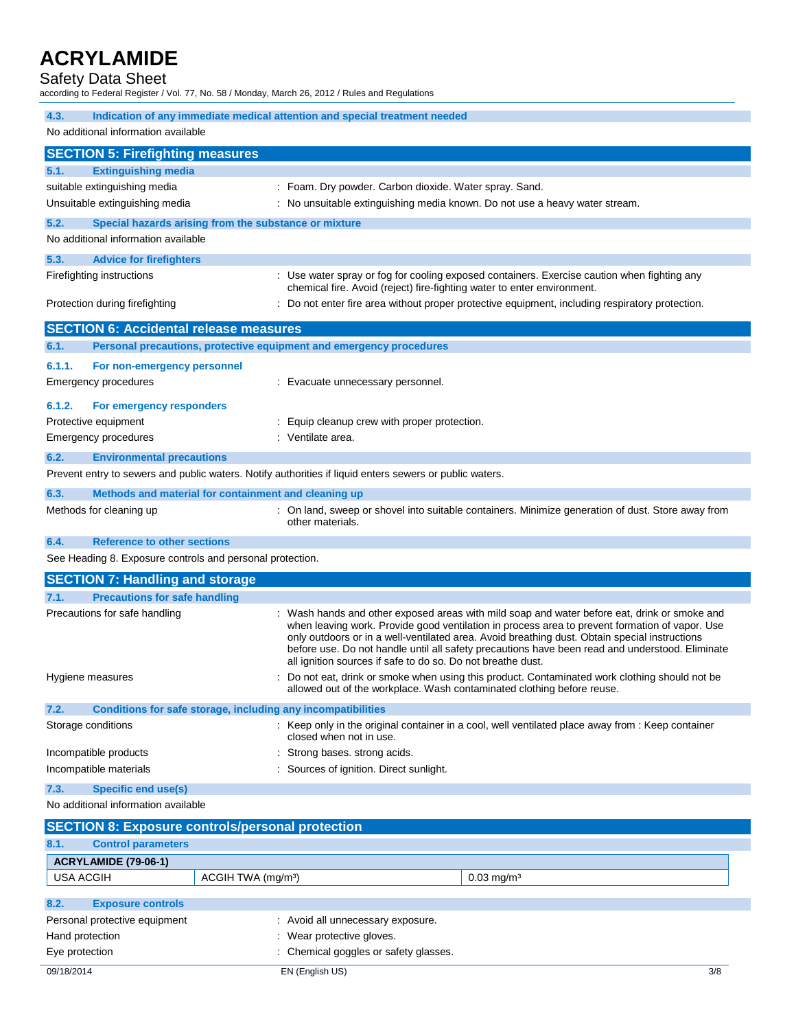## Safety Data Sheet

according to Federal Register / Vol. 77, No. 58 / Monday, March 26, 2012 / Rules and Regulations

| Indication of any immediate medical attention and special treatment needed<br>4.3. |                                                                                                         |                                                                                                                                                                                                                                                                                                                                                                                                                                                                   |  |
|------------------------------------------------------------------------------------|---------------------------------------------------------------------------------------------------------|-------------------------------------------------------------------------------------------------------------------------------------------------------------------------------------------------------------------------------------------------------------------------------------------------------------------------------------------------------------------------------------------------------------------------------------------------------------------|--|
| No additional information available                                                |                                                                                                         |                                                                                                                                                                                                                                                                                                                                                                                                                                                                   |  |
| <b>SECTION 5: Firefighting measures</b>                                            |                                                                                                         |                                                                                                                                                                                                                                                                                                                                                                                                                                                                   |  |
| <b>Extinguishing media</b><br>5.1.                                                 |                                                                                                         |                                                                                                                                                                                                                                                                                                                                                                                                                                                                   |  |
| suitable extinguishing media                                                       |                                                                                                         | : Foam. Dry powder. Carbon dioxide. Water spray. Sand.                                                                                                                                                                                                                                                                                                                                                                                                            |  |
| Unsuitable extinguishing media                                                     |                                                                                                         | : No unsuitable extinguishing media known. Do not use a heavy water stream.                                                                                                                                                                                                                                                                                                                                                                                       |  |
| 5.2.                                                                               | Special hazards arising from the substance or mixture                                                   |                                                                                                                                                                                                                                                                                                                                                                                                                                                                   |  |
| No additional information available                                                |                                                                                                         |                                                                                                                                                                                                                                                                                                                                                                                                                                                                   |  |
| 5.3.<br><b>Advice for firefighters</b>                                             |                                                                                                         |                                                                                                                                                                                                                                                                                                                                                                                                                                                                   |  |
| Firefighting instructions                                                          |                                                                                                         | : Use water spray or fog for cooling exposed containers. Exercise caution when fighting any<br>chemical fire. Avoid (reject) fire-fighting water to enter environment.                                                                                                                                                                                                                                                                                            |  |
| Protection during firefighting                                                     |                                                                                                         | : Do not enter fire area without proper protective equipment, including respiratory protection.                                                                                                                                                                                                                                                                                                                                                                   |  |
| <b>SECTION 6: Accidental release measures</b>                                      |                                                                                                         |                                                                                                                                                                                                                                                                                                                                                                                                                                                                   |  |
| 6.1.                                                                               | Personal precautions, protective equipment and emergency procedures                                     |                                                                                                                                                                                                                                                                                                                                                                                                                                                                   |  |
| 6.1.1.<br>For non-emergency personnel                                              |                                                                                                         |                                                                                                                                                                                                                                                                                                                                                                                                                                                                   |  |
| <b>Emergency procedures</b>                                                        | : Evacuate unnecessary personnel.                                                                       |                                                                                                                                                                                                                                                                                                                                                                                                                                                                   |  |
| 6.1.2.<br>For emergency responders                                                 |                                                                                                         |                                                                                                                                                                                                                                                                                                                                                                                                                                                                   |  |
| Protective equipment                                                               | : Equip cleanup crew with proper protection.                                                            |                                                                                                                                                                                                                                                                                                                                                                                                                                                                   |  |
| <b>Emergency procedures</b>                                                        | : Ventilate area.                                                                                       |                                                                                                                                                                                                                                                                                                                                                                                                                                                                   |  |
| 6.2.<br><b>Environmental precautions</b>                                           |                                                                                                         |                                                                                                                                                                                                                                                                                                                                                                                                                                                                   |  |
|                                                                                    | Prevent entry to sewers and public waters. Notify authorities if liquid enters sewers or public waters. |                                                                                                                                                                                                                                                                                                                                                                                                                                                                   |  |
| 6.3.                                                                               | Methods and material for containment and cleaning up                                                    |                                                                                                                                                                                                                                                                                                                                                                                                                                                                   |  |
| Methods for cleaning up                                                            |                                                                                                         | : On land, sweep or shovel into suitable containers. Minimize generation of dust. Store away from                                                                                                                                                                                                                                                                                                                                                                 |  |
|                                                                                    | other materials.                                                                                        |                                                                                                                                                                                                                                                                                                                                                                                                                                                                   |  |
| 6.4.<br><b>Reference to other sections</b>                                         |                                                                                                         |                                                                                                                                                                                                                                                                                                                                                                                                                                                                   |  |
| See Heading 8. Exposure controls and personal protection.                          |                                                                                                         |                                                                                                                                                                                                                                                                                                                                                                                                                                                                   |  |
| <b>SECTION 7: Handling and storage</b>                                             |                                                                                                         |                                                                                                                                                                                                                                                                                                                                                                                                                                                                   |  |
| 7.1.<br><b>Precautions for safe handling</b>                                       |                                                                                                         |                                                                                                                                                                                                                                                                                                                                                                                                                                                                   |  |
| Precautions for safe handling                                                      |                                                                                                         | : Wash hands and other exposed areas with mild soap and water before eat, drink or smoke and<br>when leaving work. Provide good ventilation in process area to prevent formation of vapor. Use<br>only outdoors or in a well-ventilated area. Avoid breathing dust. Obtain special instructions<br>before use. Do not handle until all safety precautions have been read and understood. Eliminate<br>all ignition sources if safe to do so. Do not breathe dust. |  |
| Hygiene measures                                                                   |                                                                                                         | Do not eat, drink or smoke when using this product. Contaminated work clothing should not be<br>allowed out of the workplace. Wash contaminated clothing before reuse.                                                                                                                                                                                                                                                                                            |  |
| 7.2.                                                                               | Conditions for safe storage, including any incompatibilities                                            |                                                                                                                                                                                                                                                                                                                                                                                                                                                                   |  |
| Storage conditions                                                                 | closed when not in use.                                                                                 | : Keep only in the original container in a cool, well ventilated place away from : Keep container                                                                                                                                                                                                                                                                                                                                                                 |  |
| Incompatible products                                                              | Strong bases, strong acids.                                                                             |                                                                                                                                                                                                                                                                                                                                                                                                                                                                   |  |
| Incompatible materials                                                             | Sources of ignition. Direct sunlight.                                                                   |                                                                                                                                                                                                                                                                                                                                                                                                                                                                   |  |
| 7.3.<br><b>Specific end use(s)</b>                                                 |                                                                                                         |                                                                                                                                                                                                                                                                                                                                                                                                                                                                   |  |
| No additional information available                                                |                                                                                                         |                                                                                                                                                                                                                                                                                                                                                                                                                                                                   |  |
|                                                                                    | <b>SECTION 8: Exposure controls/personal protection</b>                                                 |                                                                                                                                                                                                                                                                                                                                                                                                                                                                   |  |
| 8.1.<br><b>Control parameters</b>                                                  |                                                                                                         |                                                                                                                                                                                                                                                                                                                                                                                                                                                                   |  |
| ACRYLAMIDE (79-06-1)                                                               |                                                                                                         |                                                                                                                                                                                                                                                                                                                                                                                                                                                                   |  |
| <b>USA ACGIH</b>                                                                   | ACGIH TWA (mg/m <sup>3</sup> )                                                                          | $0.03$ mg/m <sup>3</sup>                                                                                                                                                                                                                                                                                                                                                                                                                                          |  |
| 8.2.<br><b>Exposure controls</b>                                                   |                                                                                                         |                                                                                                                                                                                                                                                                                                                                                                                                                                                                   |  |
| Personal protective equipment                                                      | : Avoid all unnecessary exposure.                                                                       |                                                                                                                                                                                                                                                                                                                                                                                                                                                                   |  |
| Hand protection                                                                    | Wear protective gloves.                                                                                 |                                                                                                                                                                                                                                                                                                                                                                                                                                                                   |  |
| Eye protection                                                                     | Chemical goggles or safety glasses.                                                                     |                                                                                                                                                                                                                                                                                                                                                                                                                                                                   |  |
|                                                                                    |                                                                                                         |                                                                                                                                                                                                                                                                                                                                                                                                                                                                   |  |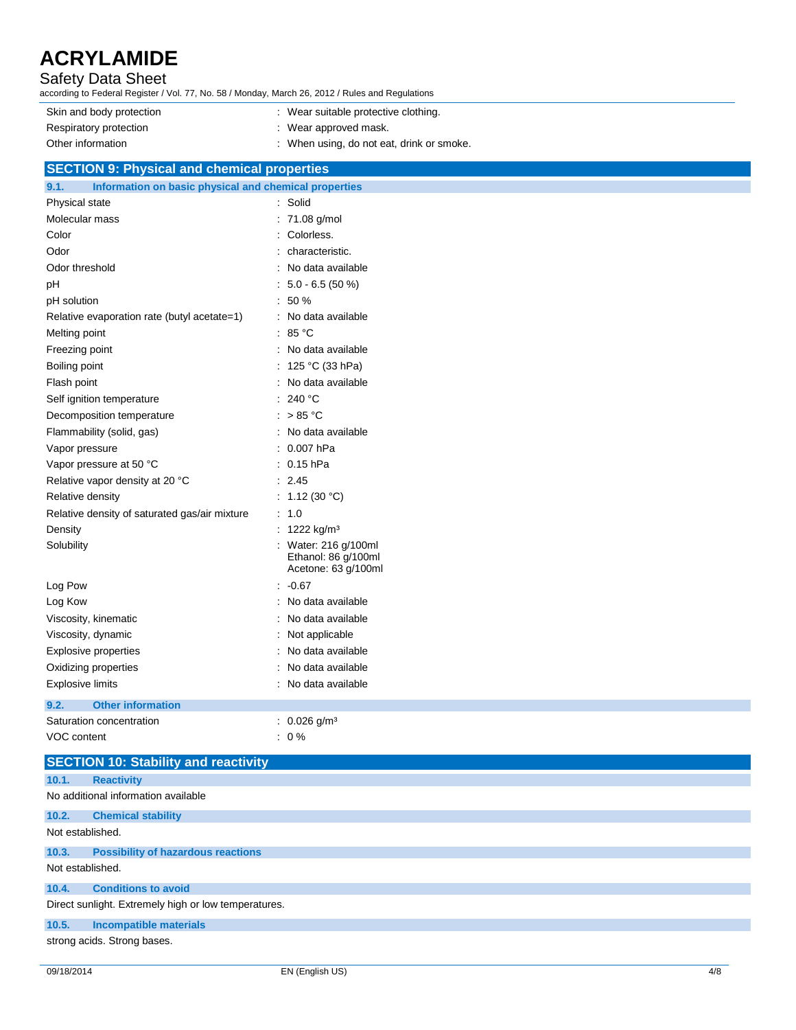## Safety Data Sheet

according to Federal Register / Vol. 77, No. 58 / Monday, March 26, 2012 / Rules and Regulations

| Skin and body protection | : Wear suitable protective clothing.      |
|--------------------------|-------------------------------------------|
| Respiratory protection   | $\therefore$ Wear approved mask.          |
| Other information        | : When using, do not eat, drink or smoke. |

## **SECTION 9: Physical and chemical properties**

| 9.1.<br>Information on basic physical and chemical properties |                                                                    |
|---------------------------------------------------------------|--------------------------------------------------------------------|
| Physical state                                                | Solid                                                              |
| Molecular mass                                                | 71.08 g/mol                                                        |
| Color                                                         | Colorless.                                                         |
| Odor                                                          | characteristic.                                                    |
| Odor threshold                                                | No data available                                                  |
| рH                                                            | $5.0 - 6.5(50%)$                                                   |
| pH solution                                                   | 50 %                                                               |
| Relative evaporation rate (butyl acetate=1)                   | No data available                                                  |
| Melting point                                                 | : $85^{\circ}$ C                                                   |
| Freezing point                                                | : No data available                                                |
| Boiling point                                                 | : 125 °C (33 hPa)                                                  |
| Flash point                                                   | No data available                                                  |
| Self ignition temperature                                     | 240 °C                                                             |
| Decomposition temperature                                     | : $> 85 °C$                                                        |
| Flammability (solid, gas)                                     | : No data available                                                |
| Vapor pressure                                                | 0.007 hPa                                                          |
| Vapor pressure at 50 °C                                       | $: 0.15$ hPa                                                       |
| Relative vapor density at 20 °C                               | 2.45                                                               |
| Relative density                                              | 1.12 $(30 °C)$                                                     |
| Relative density of saturated gas/air mixture                 | 1.0                                                                |
| Density                                                       | 1222 kg/m <sup>3</sup>                                             |
| Solubility                                                    | : Water: 216 g/100ml<br>Ethanol: 86 g/100ml<br>Acetone: 63 g/100ml |
| Log Pow                                                       | $: -0.67$                                                          |
| Log Kow                                                       | No data available                                                  |
| Viscosity, kinematic                                          | No data available                                                  |
| Viscosity, dynamic                                            | Not applicable                                                     |
| <b>Explosive properties</b>                                   | No data available                                                  |
| Oxidizing properties                                          | No data available                                                  |
| <b>Explosive limits</b>                                       | No data available                                                  |
| <b>Other information</b><br>9.2.                              |                                                                    |
| Saturation concentration                                      | : $0.026$ g/m <sup>3</sup>                                         |
| <b>VOC content</b>                                            | $: 0\%$                                                            |
|                                                               |                                                                    |

|                  | <b>SECTION 10: Stability and reactivity</b>          |
|------------------|------------------------------------------------------|
| 10.1.            | <b>Reactivity</b>                                    |
|                  | No additional information available                  |
| 10.2.            | <b>Chemical stability</b>                            |
| Not established. |                                                      |
| 10.3.            | <b>Possibility of hazardous reactions</b>            |
| Not established. |                                                      |
| 10.4.            | <b>Conditions to avoid</b>                           |
|                  | Direct sunlight. Extremely high or low temperatures. |
| 10.5.            | <b>Incompatible materials</b>                        |
|                  | strong acids. Strong bases.                          |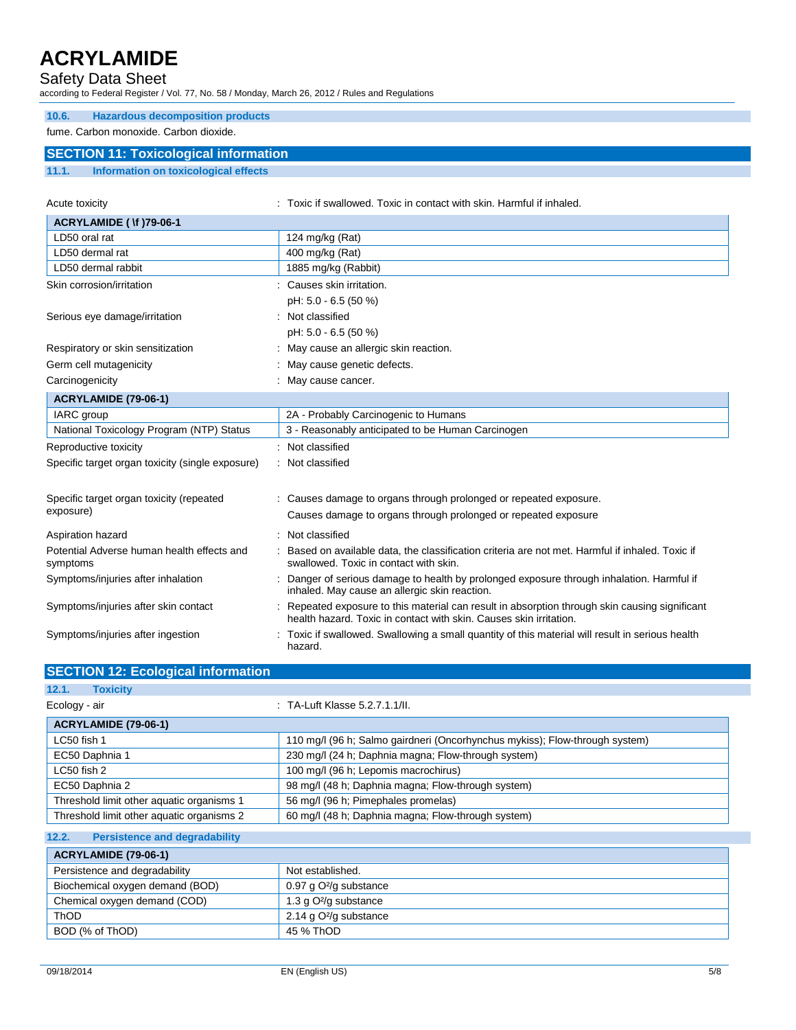## Safety Data Sheet

according to Federal Register / Vol. 77, No. 58 / Monday, March 26, 2012 / Rules and Regulations

### **10.6. Hazardous decomposition products**

fume. Carbon monoxide. Carbon dioxide.

## **SECTION 11: Toxicological information**

**11.1. Information on toxicological effects**

| Acute toxicity                                         |  | : Toxic if swallowed. Toxic in contact with skin. Harmful if inhaled.                                                                                              |  |  |  |
|--------------------------------------------------------|--|--------------------------------------------------------------------------------------------------------------------------------------------------------------------|--|--|--|
| <b>ACRYLAMIDE ( \f )79-06-1</b>                        |  |                                                                                                                                                                    |  |  |  |
| LD50 oral rat                                          |  | 124 mg/kg $(Rat)$                                                                                                                                                  |  |  |  |
| LD50 dermal rat                                        |  | 400 mg/kg (Rat)                                                                                                                                                    |  |  |  |
| LD50 dermal rabbit                                     |  | 1885 mg/kg (Rabbit)                                                                                                                                                |  |  |  |
| Skin corrosion/irritation                              |  | Causes skin irritation.                                                                                                                                            |  |  |  |
|                                                        |  | pH: 5.0 - 6.5 (50 %)                                                                                                                                               |  |  |  |
| Serious eye damage/irritation                          |  | Not classified                                                                                                                                                     |  |  |  |
|                                                        |  | pH: 5.0 - 6.5 (50 %)                                                                                                                                               |  |  |  |
| Respiratory or skin sensitization                      |  | May cause an allergic skin reaction.                                                                                                                               |  |  |  |
| Germ cell mutagenicity                                 |  | May cause genetic defects.                                                                                                                                         |  |  |  |
| Carcinogenicity                                        |  | May cause cancer.                                                                                                                                                  |  |  |  |
| <b>ACRYLAMIDE (79-06-1)</b>                            |  |                                                                                                                                                                    |  |  |  |
| <b>IARC</b> group                                      |  | 2A - Probably Carcinogenic to Humans                                                                                                                               |  |  |  |
| National Toxicology Program (NTP) Status               |  | 3 - Reasonably anticipated to be Human Carcinogen                                                                                                                  |  |  |  |
| Reproductive toxicity                                  |  | Not classified                                                                                                                                                     |  |  |  |
| Specific target organ toxicity (single exposure)       |  | : Not classified                                                                                                                                                   |  |  |  |
| Specific target organ toxicity (repeated               |  | : Causes damage to organs through prolonged or repeated exposure.                                                                                                  |  |  |  |
| exposure)                                              |  | Causes damage to organs through prolonged or repeated exposure                                                                                                     |  |  |  |
| Aspiration hazard                                      |  | Not classified                                                                                                                                                     |  |  |  |
| Potential Adverse human health effects and<br>symptoms |  | Based on available data, the classification criteria are not met. Harmful if inhaled. Toxic if<br>swallowed. Toxic in contact with skin.                           |  |  |  |
| Symptoms/injuries after inhalation                     |  | Danger of serious damage to health by prolonged exposure through inhalation. Harmful if<br>inhaled. May cause an allergic skin reaction.                           |  |  |  |
| Symptoms/injuries after skin contact                   |  | Repeated exposure to this material can result in absorption through skin causing significant<br>health hazard. Toxic in contact with skin. Causes skin irritation. |  |  |  |
| Symptoms/injuries after ingestion                      |  | Toxic if swallowed. Swallowing a small quantity of this material will result in serious health<br>hazard.                                                          |  |  |  |

| <b>SECTION 12: Ecological information</b>     |                                                                             |
|-----------------------------------------------|-----------------------------------------------------------------------------|
| 12.1.<br><b>Toxicity</b>                      |                                                                             |
| Ecology - air                                 | $\therefore$ TA-Luft Klasse 5.2.7.1.1/II.                                   |
| <b>ACRYLAMIDE (79-06-1)</b>                   |                                                                             |
| LC50 fish 1                                   | 110 mg/l (96 h; Salmo gairdneri (Oncorhynchus mykiss); Flow-through system) |
| EC50 Daphnia 1                                | 230 mg/l (24 h; Daphnia magna; Flow-through system)                         |
| LC50 fish 2                                   | 100 mg/l (96 h; Lepomis macrochirus)                                        |
| EC50 Daphnia 2                                | 98 mg/l (48 h; Daphnia magna; Flow-through system)                          |
| Threshold limit other aquatic organisms 1     | 56 mg/l (96 h; Pimephales promelas)                                         |
| Threshold limit other aquatic organisms 2     | 60 mg/l (48 h; Daphnia magna; Flow-through system)                          |
| <b>Persistence and degradability</b><br>12.2. |                                                                             |
| <b>ACRYLAMIDE (79-06-1)</b>                   |                                                                             |

| Persistence and degradability   | Not established.                   |
|---------------------------------|------------------------------------|
| Biochemical oxygen demand (BOD) | 0.97 g O <sup>2</sup> /g substance |
| Chemical oxygen demand (COD)    | 1.3 g $O^2$ /g substance           |
| <b>ThOD</b>                     | 2.14 g O <sup>2</sup> /g substance |
| BOD (% of ThOD)                 | 45 % ThOD                          |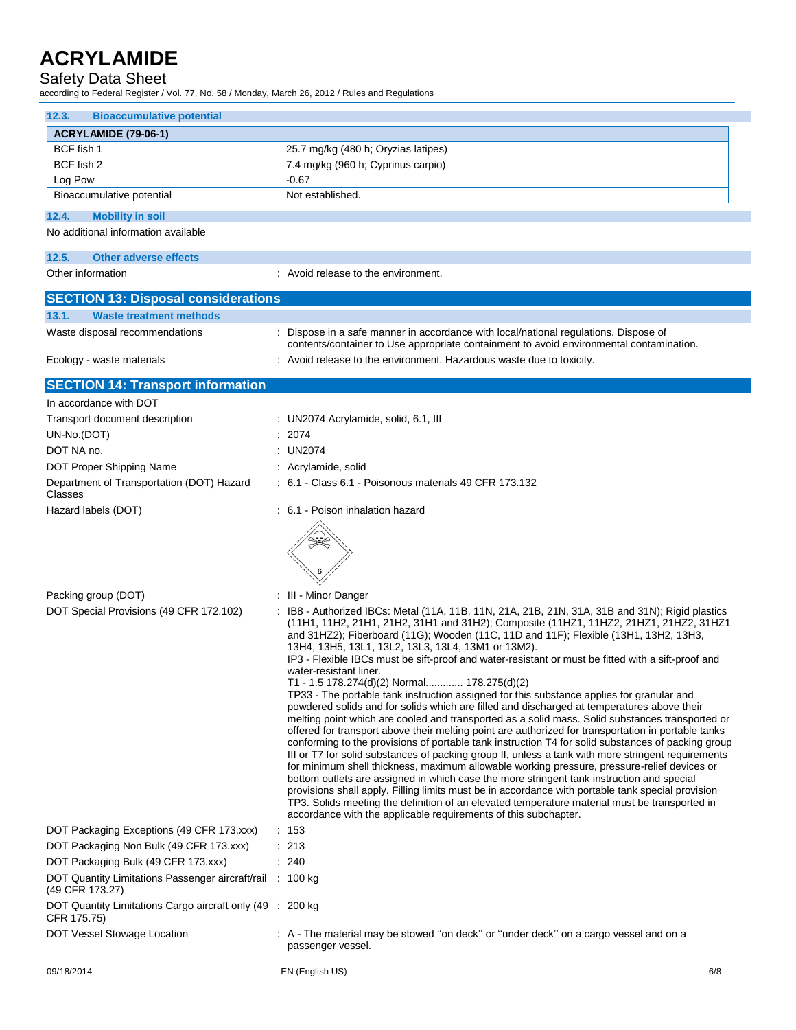## Safety Data Sheet

according to Federal Register / Vol. 77, No. 58 / Monday, March 26, 2012 / Rules and Regulations

| <b>Bioaccumulative potential</b><br>12.3.                                    |                                                                                                                                                                                                                                                                                                                                                                                                                                                                                                                                                                                                                                                                                                                                                                                                                                                                                                                                                                                                                                                                                                                                                                                                                                                                                                                                                                                                                                                                                                                                                                                                             |  |  |  |
|------------------------------------------------------------------------------|-------------------------------------------------------------------------------------------------------------------------------------------------------------------------------------------------------------------------------------------------------------------------------------------------------------------------------------------------------------------------------------------------------------------------------------------------------------------------------------------------------------------------------------------------------------------------------------------------------------------------------------------------------------------------------------------------------------------------------------------------------------------------------------------------------------------------------------------------------------------------------------------------------------------------------------------------------------------------------------------------------------------------------------------------------------------------------------------------------------------------------------------------------------------------------------------------------------------------------------------------------------------------------------------------------------------------------------------------------------------------------------------------------------------------------------------------------------------------------------------------------------------------------------------------------------------------------------------------------------|--|--|--|
| <b>ACRYLAMIDE (79-06-1)</b>                                                  |                                                                                                                                                                                                                                                                                                                                                                                                                                                                                                                                                                                                                                                                                                                                                                                                                                                                                                                                                                                                                                                                                                                                                                                                                                                                                                                                                                                                                                                                                                                                                                                                             |  |  |  |
| BCF fish 1                                                                   | 25.7 mg/kg (480 h; Oryzias latipes)                                                                                                                                                                                                                                                                                                                                                                                                                                                                                                                                                                                                                                                                                                                                                                                                                                                                                                                                                                                                                                                                                                                                                                                                                                                                                                                                                                                                                                                                                                                                                                         |  |  |  |
| BCF fish 2                                                                   | 7.4 mg/kg (960 h; Cyprinus carpio)                                                                                                                                                                                                                                                                                                                                                                                                                                                                                                                                                                                                                                                                                                                                                                                                                                                                                                                                                                                                                                                                                                                                                                                                                                                                                                                                                                                                                                                                                                                                                                          |  |  |  |
| Log Pow                                                                      | $-0.67$                                                                                                                                                                                                                                                                                                                                                                                                                                                                                                                                                                                                                                                                                                                                                                                                                                                                                                                                                                                                                                                                                                                                                                                                                                                                                                                                                                                                                                                                                                                                                                                                     |  |  |  |
| Bioaccumulative potential                                                    | Not established.                                                                                                                                                                                                                                                                                                                                                                                                                                                                                                                                                                                                                                                                                                                                                                                                                                                                                                                                                                                                                                                                                                                                                                                                                                                                                                                                                                                                                                                                                                                                                                                            |  |  |  |
| 12.4.<br><b>Mobility in soil</b>                                             |                                                                                                                                                                                                                                                                                                                                                                                                                                                                                                                                                                                                                                                                                                                                                                                                                                                                                                                                                                                                                                                                                                                                                                                                                                                                                                                                                                                                                                                                                                                                                                                                             |  |  |  |
| No additional information available                                          |                                                                                                                                                                                                                                                                                                                                                                                                                                                                                                                                                                                                                                                                                                                                                                                                                                                                                                                                                                                                                                                                                                                                                                                                                                                                                                                                                                                                                                                                                                                                                                                                             |  |  |  |
| 12.5.<br><b>Other adverse effects</b>                                        |                                                                                                                                                                                                                                                                                                                                                                                                                                                                                                                                                                                                                                                                                                                                                                                                                                                                                                                                                                                                                                                                                                                                                                                                                                                                                                                                                                                                                                                                                                                                                                                                             |  |  |  |
| Other information                                                            | : Avoid release to the environment.                                                                                                                                                                                                                                                                                                                                                                                                                                                                                                                                                                                                                                                                                                                                                                                                                                                                                                                                                                                                                                                                                                                                                                                                                                                                                                                                                                                                                                                                                                                                                                         |  |  |  |
| <b>SECTION 13: Disposal considerations</b>                                   |                                                                                                                                                                                                                                                                                                                                                                                                                                                                                                                                                                                                                                                                                                                                                                                                                                                                                                                                                                                                                                                                                                                                                                                                                                                                                                                                                                                                                                                                                                                                                                                                             |  |  |  |
| 13.1.<br><b>Waste treatment methods</b>                                      |                                                                                                                                                                                                                                                                                                                                                                                                                                                                                                                                                                                                                                                                                                                                                                                                                                                                                                                                                                                                                                                                                                                                                                                                                                                                                                                                                                                                                                                                                                                                                                                                             |  |  |  |
| Waste disposal recommendations                                               | : Dispose in a safe manner in accordance with local/national regulations. Dispose of<br>contents/container to Use appropriate containment to avoid environmental contamination.                                                                                                                                                                                                                                                                                                                                                                                                                                                                                                                                                                                                                                                                                                                                                                                                                                                                                                                                                                                                                                                                                                                                                                                                                                                                                                                                                                                                                             |  |  |  |
| Ecology - waste materials                                                    | : Avoid release to the environment. Hazardous waste due to toxicity.                                                                                                                                                                                                                                                                                                                                                                                                                                                                                                                                                                                                                                                                                                                                                                                                                                                                                                                                                                                                                                                                                                                                                                                                                                                                                                                                                                                                                                                                                                                                        |  |  |  |
| <b>SECTION 14: Transport information</b>                                     |                                                                                                                                                                                                                                                                                                                                                                                                                                                                                                                                                                                                                                                                                                                                                                                                                                                                                                                                                                                                                                                                                                                                                                                                                                                                                                                                                                                                                                                                                                                                                                                                             |  |  |  |
| In accordance with DOT                                                       |                                                                                                                                                                                                                                                                                                                                                                                                                                                                                                                                                                                                                                                                                                                                                                                                                                                                                                                                                                                                                                                                                                                                                                                                                                                                                                                                                                                                                                                                                                                                                                                                             |  |  |  |
| Transport document description                                               | : UN2074 Acrylamide, solid, 6.1, III                                                                                                                                                                                                                                                                                                                                                                                                                                                                                                                                                                                                                                                                                                                                                                                                                                                                                                                                                                                                                                                                                                                                                                                                                                                                                                                                                                                                                                                                                                                                                                        |  |  |  |
| UN-No.(DOT)                                                                  | : 2074                                                                                                                                                                                                                                                                                                                                                                                                                                                                                                                                                                                                                                                                                                                                                                                                                                                                                                                                                                                                                                                                                                                                                                                                                                                                                                                                                                                                                                                                                                                                                                                                      |  |  |  |
| DOT NA no.                                                                   | : UN2074                                                                                                                                                                                                                                                                                                                                                                                                                                                                                                                                                                                                                                                                                                                                                                                                                                                                                                                                                                                                                                                                                                                                                                                                                                                                                                                                                                                                                                                                                                                                                                                                    |  |  |  |
| DOT Proper Shipping Name                                                     | : Acrylamide, solid                                                                                                                                                                                                                                                                                                                                                                                                                                                                                                                                                                                                                                                                                                                                                                                                                                                                                                                                                                                                                                                                                                                                                                                                                                                                                                                                                                                                                                                                                                                                                                                         |  |  |  |
| Department of Transportation (DOT) Hazard<br>Classes                         | : 6.1 - Class 6.1 - Poisonous materials 49 CFR 173.132                                                                                                                                                                                                                                                                                                                                                                                                                                                                                                                                                                                                                                                                                                                                                                                                                                                                                                                                                                                                                                                                                                                                                                                                                                                                                                                                                                                                                                                                                                                                                      |  |  |  |
| Hazard labels (DOT)                                                          | : 6.1 - Poison inhalation hazard                                                                                                                                                                                                                                                                                                                                                                                                                                                                                                                                                                                                                                                                                                                                                                                                                                                                                                                                                                                                                                                                                                                                                                                                                                                                                                                                                                                                                                                                                                                                                                            |  |  |  |
|                                                                              |                                                                                                                                                                                                                                                                                                                                                                                                                                                                                                                                                                                                                                                                                                                                                                                                                                                                                                                                                                                                                                                                                                                                                                                                                                                                                                                                                                                                                                                                                                                                                                                                             |  |  |  |
| Packing group (DOT)                                                          | : III Minor Danger                                                                                                                                                                                                                                                                                                                                                                                                                                                                                                                                                                                                                                                                                                                                                                                                                                                                                                                                                                                                                                                                                                                                                                                                                                                                                                                                                                                                                                                                                                                                                                                          |  |  |  |
| DOT Special Provisions (49 CFR 172.102)                                      | : IB8 - Authorized IBCs: Metal (11A, 11B, 11N, 21A, 21B, 21N, 31A, 31B and 31N); Rigid plastics<br>(11H1, 11H2, 21H1, 21H2, 31H1 and 31H2); Composite (11HZ1, 11HZ2, 21HZ1, 21HZ2, 31HZ1<br>and 31HZ2); Fiberboard (11G); Wooden (11C, 11D and 11F); Flexible (13H1, 13H2, 13H3,<br>13H4, 13H5, 13L1, 13L2, 13L3, 13L4, 13M1 or 13M2).<br>IP3 - Flexible IBCs must be sift-proof and water-resistant or must be fitted with a sift-proof and<br>water-resistant liner.<br>T1 - 1.5 178.274(d)(2) Normal 178.275(d)(2)<br>TP33 - The portable tank instruction assigned for this substance applies for granular and<br>powdered solids and for solids which are filled and discharged at temperatures above their<br>melting point which are cooled and transported as a solid mass. Solid substances transported or<br>offered for transport above their melting point are authorized for transportation in portable tanks<br>conforming to the provisions of portable tank instruction T4 for solid substances of packing group<br>III or T7 for solid substances of packing group II, unless a tank with more stringent requirements<br>for minimum shell thickness, maximum allowable working pressure, pressure-relief devices or<br>bottom outlets are assigned in which case the more stringent tank instruction and special<br>provisions shall apply. Filling limits must be in accordance with portable tank special provision<br>TP3. Solids meeting the definition of an elevated temperature material must be transported in<br>accordance with the applicable requirements of this subchapter. |  |  |  |
| DOT Packaging Exceptions (49 CFR 173.xxx)                                    | $\therefore$ 153                                                                                                                                                                                                                                                                                                                                                                                                                                                                                                                                                                                                                                                                                                                                                                                                                                                                                                                                                                                                                                                                                                                                                                                                                                                                                                                                                                                                                                                                                                                                                                                            |  |  |  |
| DOT Packaging Non Bulk (49 CFR 173.xxx)                                      | $\therefore$ 213                                                                                                                                                                                                                                                                                                                                                                                                                                                                                                                                                                                                                                                                                                                                                                                                                                                                                                                                                                                                                                                                                                                                                                                                                                                                                                                                                                                                                                                                                                                                                                                            |  |  |  |
| DOT Packaging Bulk (49 CFR 173.xxx)                                          | : 240                                                                                                                                                                                                                                                                                                                                                                                                                                                                                                                                                                                                                                                                                                                                                                                                                                                                                                                                                                                                                                                                                                                                                                                                                                                                                                                                                                                                                                                                                                                                                                                                       |  |  |  |
| DOT Quantity Limitations Passenger aircraft/rail : 100 kg<br>(49 CFR 173.27) |                                                                                                                                                                                                                                                                                                                                                                                                                                                                                                                                                                                                                                                                                                                                                                                                                                                                                                                                                                                                                                                                                                                                                                                                                                                                                                                                                                                                                                                                                                                                                                                                             |  |  |  |
| DOT Quantity Limitations Cargo aircraft only (49 : 200 kg)<br>CFR 175.75)    |                                                                                                                                                                                                                                                                                                                                                                                                                                                                                                                                                                                                                                                                                                                                                                                                                                                                                                                                                                                                                                                                                                                                                                                                                                                                                                                                                                                                                                                                                                                                                                                                             |  |  |  |
| DOT Vessel Stowage Location                                                  | : A - The material may be stowed "on deck" or "under deck" on a cargo vessel and on a<br>passenger vessel.                                                                                                                                                                                                                                                                                                                                                                                                                                                                                                                                                                                                                                                                                                                                                                                                                                                                                                                                                                                                                                                                                                                                                                                                                                                                                                                                                                                                                                                                                                  |  |  |  |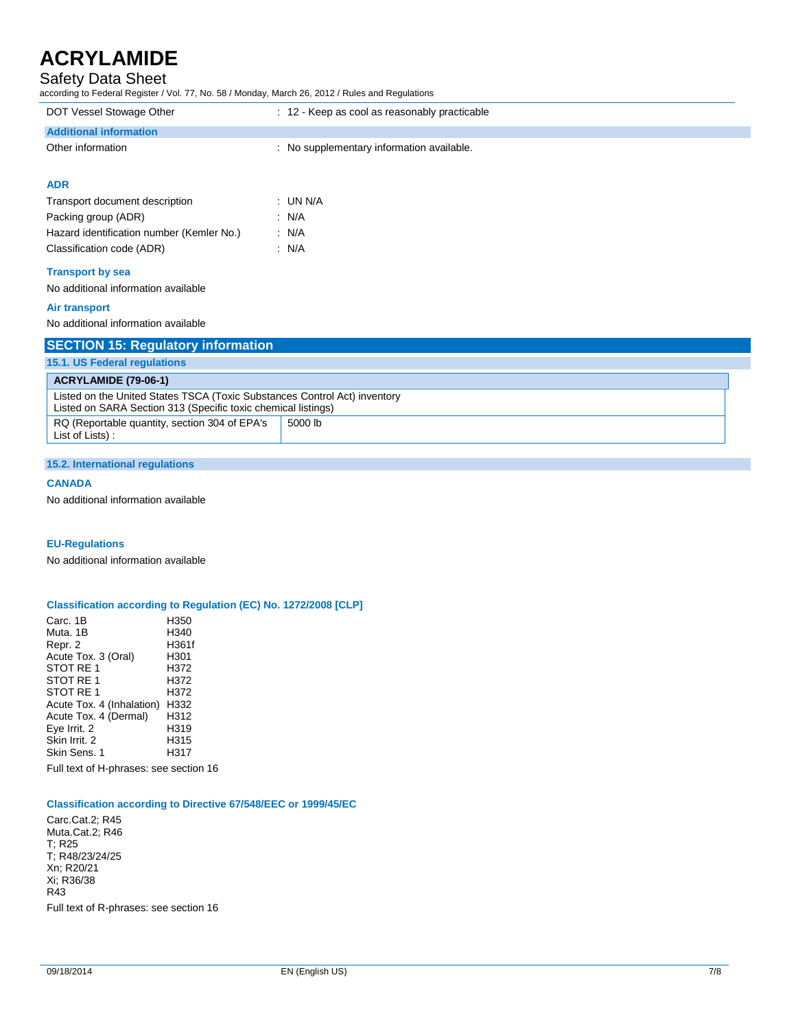## Safety Data Sheet

according to Federal Register / Vol. 77, No. 58 / Monday, March 26, 2012 / Rules and Regulations

| according to Federal Register / Vol. 77, No. 58 / Monday, March 26, 2012 / Rules and Regulations                                           |                                               |
|--------------------------------------------------------------------------------------------------------------------------------------------|-----------------------------------------------|
| DOT Vessel Stowage Other                                                                                                                   | : 12 - Keep as cool as reasonably practicable |
| <b>Additional information</b>                                                                                                              |                                               |
| Other information                                                                                                                          | : No supplementary information available.     |
| <b>ADR</b>                                                                                                                                 |                                               |
| Transport document description                                                                                                             | $:$ UN N/A                                    |
| Packing group (ADR)                                                                                                                        | : N/A                                         |
| Hazard identification number (Kemler No.)                                                                                                  | : N/A                                         |
| Classification code (ADR)                                                                                                                  | : N/A                                         |
| <b>Transport by sea</b>                                                                                                                    |                                               |
| No additional information available                                                                                                        |                                               |
| <b>Air transport</b>                                                                                                                       |                                               |
| No additional information available                                                                                                        |                                               |
| <b>SECTION 15: Regulatory information</b>                                                                                                  |                                               |
| 15.1. US Federal regulations                                                                                                               |                                               |
| <b>ACRYLAMIDE (79-06-1)</b>                                                                                                                |                                               |
| Listed on the United States TSCA (Toxic Substances Control Act) inventory<br>Listed on SARA Section 313 (Specific toxic chemical listings) |                                               |
| RQ (Reportable quantity, section 304 of EPA's<br>List of Lists):                                                                           | 5000 lb                                       |

### **15.2. International regulations**

### **CANADA**

No additional information available

### **EU-Regulations**

No additional information available

### **Classification according to Regulation (EC) No. 1272/2008 [CLP]**

Carc. 1B H350 Muta. 1B H340 Repr. 2 H361<br>Acute Tox. 3 (Oral) H301 Acute Tox. 3 (Oral) STOT RE 1 H372<br>STOT RE 1 H372 STOT RE 1 H372<br>STOT RE 1 H372 STOT RE 1 Acute Tox. 4 (Inhalation) H332<br>Acute Tox. 4 (Dermal) H312 Acute Tox. 4 (Dermal) H312<br>Eye Irrit. 2 H319 Eye Irrit. 2 (a) H319<br>Skin Irrit. 2 H315 Skin Irrit. 2 H315<br>
Skin Sens. 1 H317 Skin Sens. 1

Full text of H-phrases: see section 16

### **Classification according to Directive 67/548/EEC or 1999/45/EC**

Carc.Cat.2; R45 Muta.Cat.2; R46 T; R25 T; R48/23/24/25 Xn; R20/21 Xi; R36/38 R43 Full text of R-phrases: see section 16